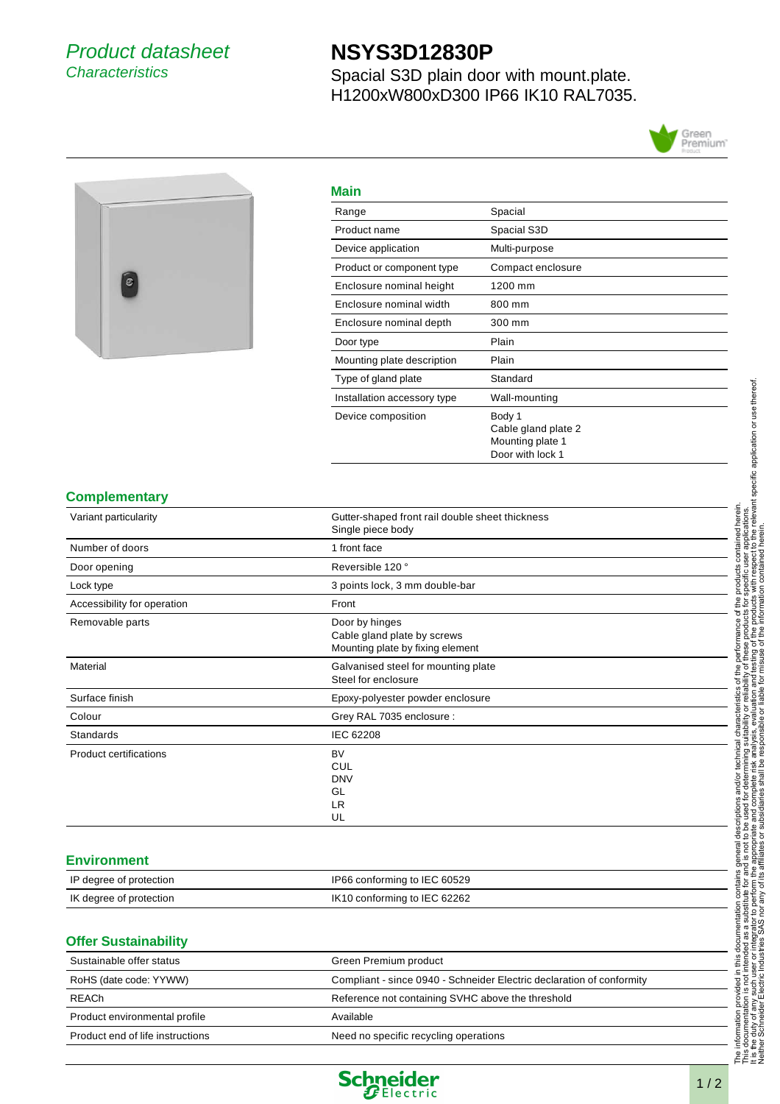## Product datasheet **Characteristics**

# **NSYS3D12830P**

Spacial S3D plain door with mount.plate. H1200xW800xD300 IP66 IK10 RAL7035.





#### **Main**

| Spacial<br>Range<br>Product name<br>Spacial S3D<br>Device application<br>Multi-purpose<br>Product or component type<br>Compact enclosure<br>1200 mm<br>Enclosure nominal height<br>Enclosure nominal width<br>800 mm<br>Enclosure nominal depth<br>300 mm<br>Plain<br>Door type<br>Plain<br>Mounting plate description<br>Standard<br>Type of gland plate<br>Wall-mounting<br>Installation accessory type<br>Device composition<br>Body 1<br>Cable gland plate 2<br>Mounting plate 1<br>Door with lock 1 | . |  |
|----------------------------------------------------------------------------------------------------------------------------------------------------------------------------------------------------------------------------------------------------------------------------------------------------------------------------------------------------------------------------------------------------------------------------------------------------------------------------------------------------------|---|--|
|                                                                                                                                                                                                                                                                                                                                                                                                                                                                                                          |   |  |
|                                                                                                                                                                                                                                                                                                                                                                                                                                                                                                          |   |  |
|                                                                                                                                                                                                                                                                                                                                                                                                                                                                                                          |   |  |
|                                                                                                                                                                                                                                                                                                                                                                                                                                                                                                          |   |  |
|                                                                                                                                                                                                                                                                                                                                                                                                                                                                                                          |   |  |
|                                                                                                                                                                                                                                                                                                                                                                                                                                                                                                          |   |  |
|                                                                                                                                                                                                                                                                                                                                                                                                                                                                                                          |   |  |
|                                                                                                                                                                                                                                                                                                                                                                                                                                                                                                          |   |  |
|                                                                                                                                                                                                                                                                                                                                                                                                                                                                                                          |   |  |
|                                                                                                                                                                                                                                                                                                                                                                                                                                                                                                          |   |  |
|                                                                                                                                                                                                                                                                                                                                                                                                                                                                                                          |   |  |
|                                                                                                                                                                                                                                                                                                                                                                                                                                                                                                          |   |  |

## **Complementary**

| Variant particularity         | Gutter-shaped front rail double sheet thickness<br>Single piece body              |
|-------------------------------|-----------------------------------------------------------------------------------|
| Number of doors               | 1 front face                                                                      |
| Door opening                  | Reversible 120°                                                                   |
| Lock type                     | 3 points lock, 3 mm double-bar                                                    |
| Accessibility for operation   | Front                                                                             |
| Removable parts               | Door by hinges<br>Cable gland plate by screws<br>Mounting plate by fixing element |
| Material                      | Galvanised steel for mounting plate<br>Steel for enclosure                        |
| Surface finish                | Epoxy-polyester powder enclosure                                                  |
| Colour                        | Grey RAL 7035 enclosure :                                                         |
| Standards                     | IEC 62208                                                                         |
| <b>Product certifications</b> | <b>BV</b><br><b>CUL</b><br><b>DNV</b><br>GL<br><b>LR</b><br>UL                    |

#### **Environment**

| IP degree of protection | IP66 conforming to IEC 60529 |
|-------------------------|------------------------------|
| IK degree of protection | IK10 conforming to IEC 62262 |

## **Offer Sustainability**

| Sustainable offer status         | Green Premium product                                                 |
|----------------------------------|-----------------------------------------------------------------------|
| RoHS (date code: YYWW)           | Compliant - since 0940 - Schneider Electric declaration of conformity |
| <b>REACh</b>                     | Reference not containing SVHC above the threshold                     |
| Product environmental profile    | Available                                                             |
| Product end of life instructions | Need no specific recycling operations                                 |